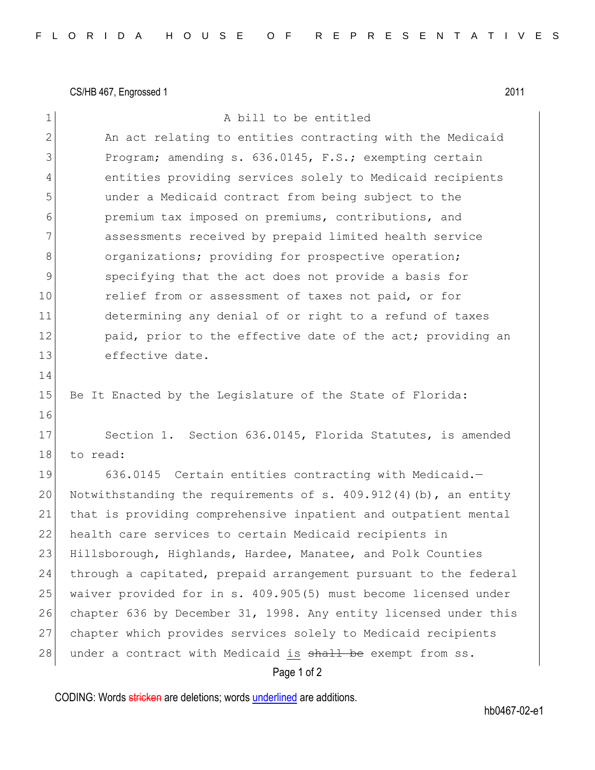CS/HB 467, Engrossed 1 2011

Page 1 of 2 1 a bill to be entitled 2 An act relating to entities contracting with the Medicaid 3 Program; amending s. 636.0145, F.S.; exempting certain 4 entities providing services solely to Medicaid recipients 5 under a Medicaid contract from being subject to the 6 premium tax imposed on premiums, contributions, and 7 assessments received by prepaid limited health service 8 organizations; providing for prospective operation; 9 specifying that the act does not provide a basis for 10 relief from or assessment of taxes not paid, or for 11 determining any denial of or right to a refund of taxes 12 paid, prior to the effective date of the act; providing an 13 effective date. 14 15 Be It Enacted by the Legislature of the State of Florida: 16 17 Section 1. Section 636.0145, Florida Statutes, is amended 18 to read: 19 636.0145 Certain entities contracting with Medicaid.-20 Notwithstanding the requirements of s.  $409.912(4)(b)$ , an entity 21 that is providing comprehensive inpatient and outpatient mental 22 health care services to certain Medicaid recipients in 23 Hillsborough, Highlands, Hardee, Manatee, and Polk Counties 24 through a capitated, prepaid arrangement pursuant to the federal 25 waiver provided for in s. 409.905(5) must become licensed under 26 chapter 636 by December 31, 1998. Any entity licensed under this 27 chapter which provides services solely to Medicaid recipients 28 under a contract with Medicaid is shall be exempt from ss.

CODING: Words stricken are deletions; words underlined are additions.

hb0467-02-e1